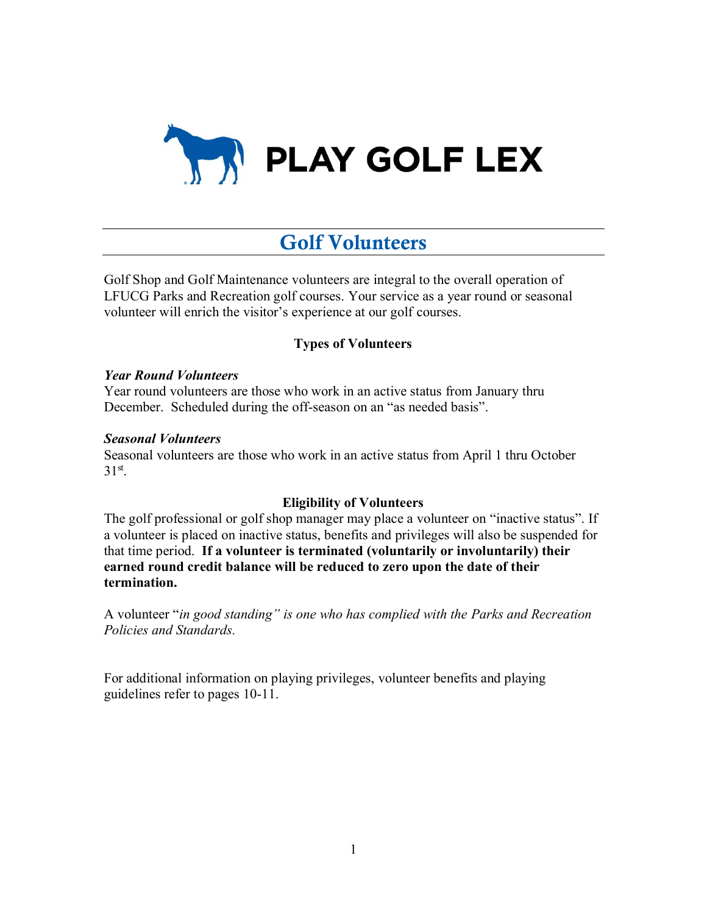

# Golf Volunteers

Golf Shop and Golf Maintenance volunteers are integral to the overall operation of LFUCG Parks and Recreation golf courses. Your service as a year round or seasonal volunteer will enrich the visitor's experience at our golf courses.

## **Types of Volunteers**

## *Year Round Volunteers*

Year round volunteers are those who work in an active status from January thru December. Scheduled during the off-season on an "as needed basis".

### *Seasonal Volunteers*

Seasonal volunteers are those who work in an active status from April 1 thru October  $31<sup>st</sup>$ .

## **Eligibility of Volunteers**

The golf professional or golf shop manager may place a volunteer on "inactive status". If a volunteer is placed on inactive status, benefits and privileges will also be suspended for that time period. **If a volunteer is terminated (voluntarily or involuntarily) their earned round credit balance will be reduced to zero upon the date of their termination.** 

A volunteer "*in good standing" is one who has complied with the Parks and Recreation Policies and Standards.* 

For additional information on playing privileges, volunteer benefits and playing guidelines refer to pages 10-11.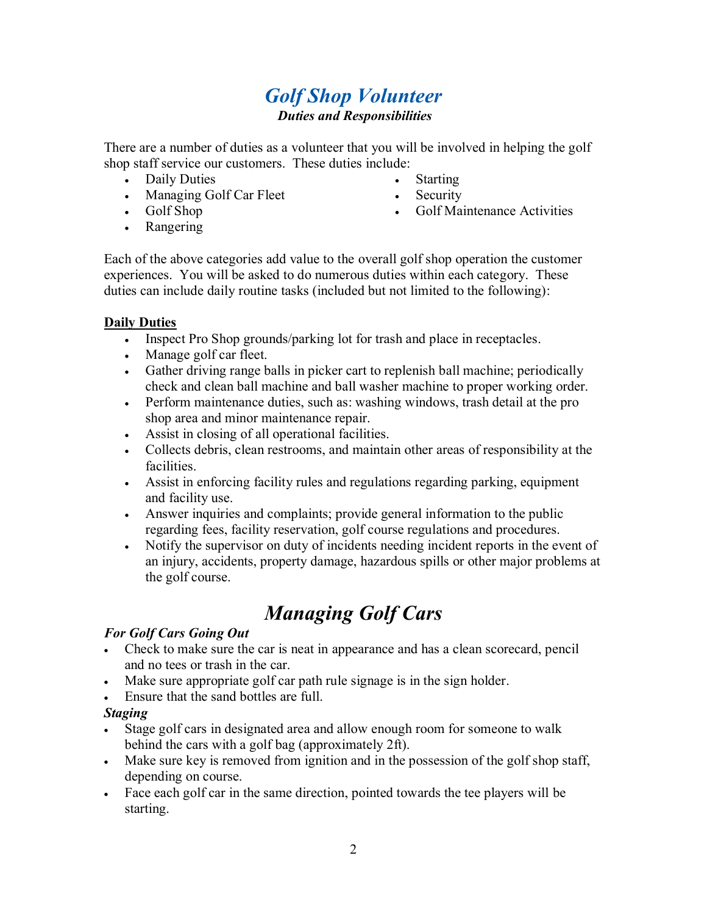## *Golf Shop Volunteer Duties and Responsibilities*

There are a number of duties as a volunteer that you will be involved in helping the golf shop staff service our customers. These duties include:

- Daily Duties
- Managing Golf Car Fleet
- Golf Shop
- Starting
- **Security**
- Golf Maintenance Activities

• Rangering

Each of the above categories add value to the overall golf shop operation the customer experiences. You will be asked to do numerous duties within each category. These duties can include daily routine tasks (included but not limited to the following):

## **Daily Duties**

- Inspect Pro Shop grounds/parking lot for trash and place in receptacles.
- Manage golf car fleet.
- Gather driving range balls in picker cart to replenish ball machine; periodically check and clean ball machine and ball washer machine to proper working order.
- Perform maintenance duties, such as: washing windows, trash detail at the pro shop area and minor maintenance repair.
- Assist in closing of all operational facilities.
- Collects debris, clean restrooms, and maintain other areas of responsibility at the facilities.
- Assist in enforcing facility rules and regulations regarding parking, equipment and facility use.
- Answer inquiries and complaints; provide general information to the public regarding fees, facility reservation, golf course regulations and procedures.
- Notify the supervisor on duty of incidents needing incident reports in the event of an injury, accidents, property damage, hazardous spills or other major problems at the golf course.

# *Managing Golf Cars*

## *For Golf Cars Going Out*

- Check to make sure the car is neat in appearance and has a clean scorecard, pencil and no tees or trash in the car.
- Make sure appropriate golf car path rule signage is in the sign holder.
- Ensure that the sand bottles are full.

## *Staging*

- Stage golf cars in designated area and allow enough room for someone to walk behind the cars with a golf bag (approximately 2ft).
- Make sure key is removed from ignition and in the possession of the golf shop staff, depending on course.
- Face each golf car in the same direction, pointed towards the tee players will be starting.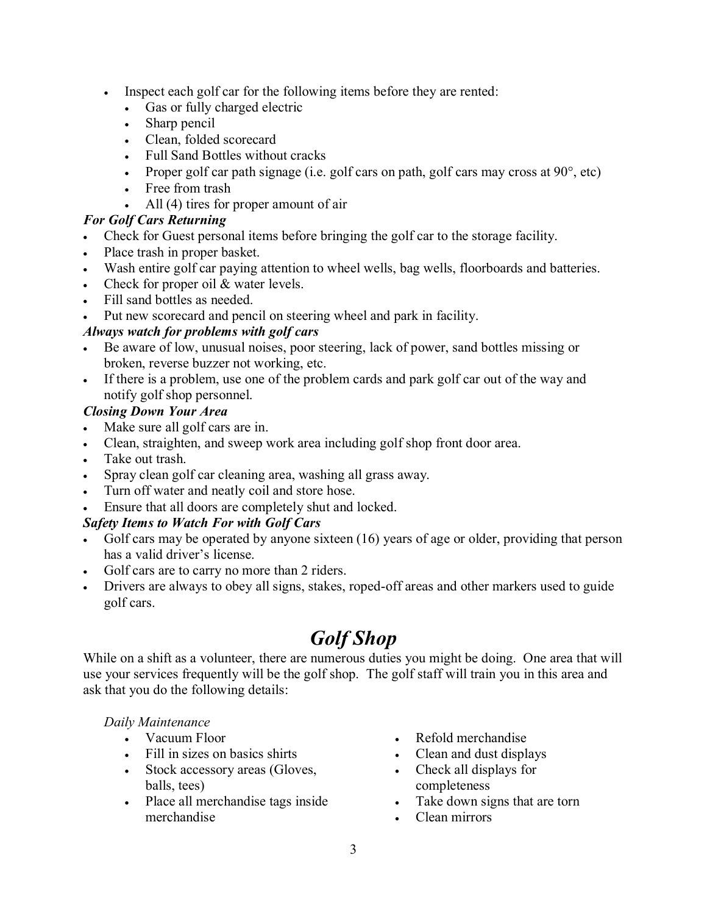- Inspect each golf car for the following items before they are rented:
	- Gas or fully charged electric
	- Sharp pencil
	- Clean, folded scorecard
	- Full Sand Bottles without cracks
	- Proper golf car path signage (i.e. golf cars on path, golf cars may cross at  $90^\circ$ , etc)
	- Free from trash
	- All (4) tires for proper amount of air

## *For Golf Cars Returning*

- Check for Guest personal items before bringing the golf car to the storage facility.
- Place trash in proper basket.
- Wash entire golf car paying attention to wheel wells, bag wells, floorboards and batteries.
- Check for proper oil & water levels.
- Fill sand bottles as needed.
- Put new scorecard and pencil on steering wheel and park in facility.

## *Always watch for problems with golf cars*

- Be aware of low, unusual noises, poor steering, lack of power, sand bottles missing or broken, reverse buzzer not working, etc.
- If there is a problem, use one of the problem cards and park golf car out of the way and notify golf shop personnel.

## *Closing Down Your Area*

- Make sure all golf cars are in.
- Clean, straighten, and sweep work area including golf shop front door area.
- Take out trash.
- Spray clean golf car cleaning area, washing all grass away.
- Turn off water and neatly coil and store hose.
- Ensure that all doors are completely shut and locked.

## *Safety Items to Watch For with Golf Cars*

- Golf cars may be operated by anyone sixteen (16) years of age or older, providing that person has a valid driver's license.
- Golf cars are to carry no more than 2 riders.
- Drivers are always to obey all signs, stakes, roped-off areas and other markers used to guide golf cars.

# *Golf Shop*

While on a shift as a volunteer, there are numerous duties you might be doing. One area that will use your services frequently will be the golf shop. The golf staff will train you in this area and ask that you do the following details:

## *Daily Maintenance*

- Vacuum Floor
- Fill in sizes on basics shirts
- Stock accessory areas (Gloves, balls, tees)
- Place all merchandise tags inside merchandise
- Refold merchandise
- Clean and dust displays
- Check all displays for completeness
- Take down signs that are torn
- Clean mirrors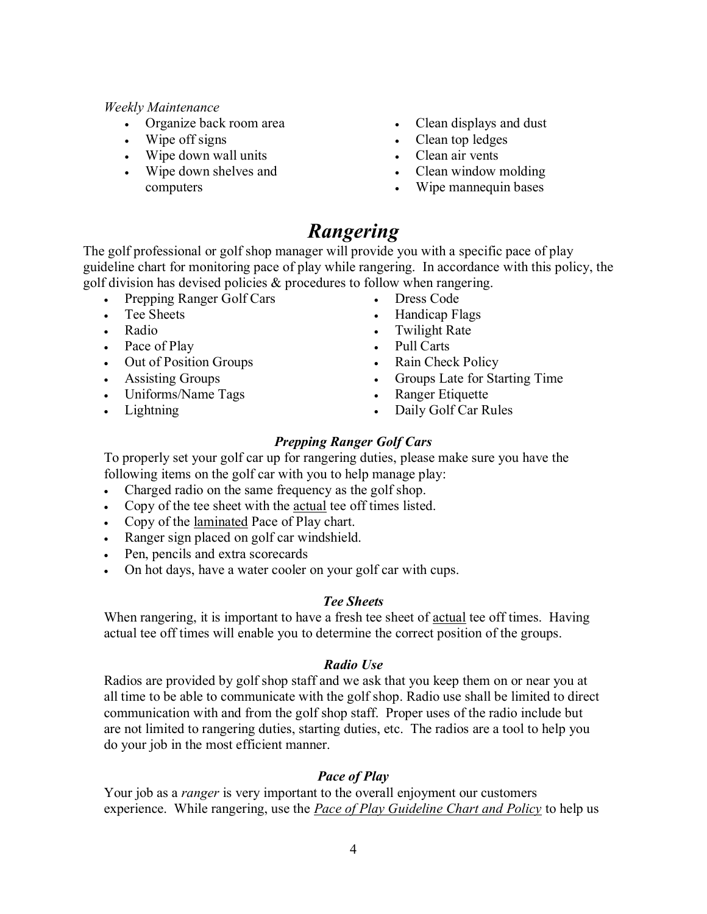#### *Weekly Maintenance*

- Organize back room area
- Wipe off signs
- Wipe down wall units
- Wipe down shelves and computers
- Clean displays and dust
- Clean top ledges
- Clean air vents
- Clean window molding
- Wipe mannequin bases

## *Rangering*

The golf professional or golf shop manager will provide you with a specific pace of play guideline chart for monitoring pace of play while rangering. In accordance with this policy, the golf division has devised policies & procedures to follow when rangering.

- Prepping Ranger Golf Cars
- Tee Sheets
- Radio
- Pace of Play
- Out of Position Groups
- Assisting Groups
- Uniforms/Name Tags
- Lightning
- Dress Code
- Handicap Flags
- Twilight Rate
- Pull Carts
- Rain Check Policy
- Groups Late for Starting Time
- Ranger Etiquette
- Daily Golf Car Rules

## *Prepping Ranger Golf Cars*

To properly set your golf car up for rangering duties, please make sure you have the following items on the golf car with you to help manage play:

- Charged radio on the same frequency as the golf shop.
- Copy of the tee sheet with the actual tee off times listed.
- Copy of the laminated Pace of Play chart.
- Ranger sign placed on golf car windshield.
- Pen, pencils and extra scorecards
- On hot days, have a water cooler on your golf car with cups.

## *Tee Sheets*

When rangering, it is important to have a fresh tee sheet of actual tee off times. Having actual tee off times will enable you to determine the correct position of the groups.

#### *Radio Use*

Radios are provided by golf shop staff and we ask that you keep them on or near you at all time to be able to communicate with the golf shop. Radio use shall be limited to direct communication with and from the golf shop staff. Proper uses of the radio include but are not limited to rangering duties, starting duties, etc. The radios are a tool to help you do your job in the most efficient manner.

## *Pace of Play*

Your job as a *ranger* is very important to the overall enjoyment our customers experience. While rangering, use the *Pace of Play Guideline Chart and Policy* to help us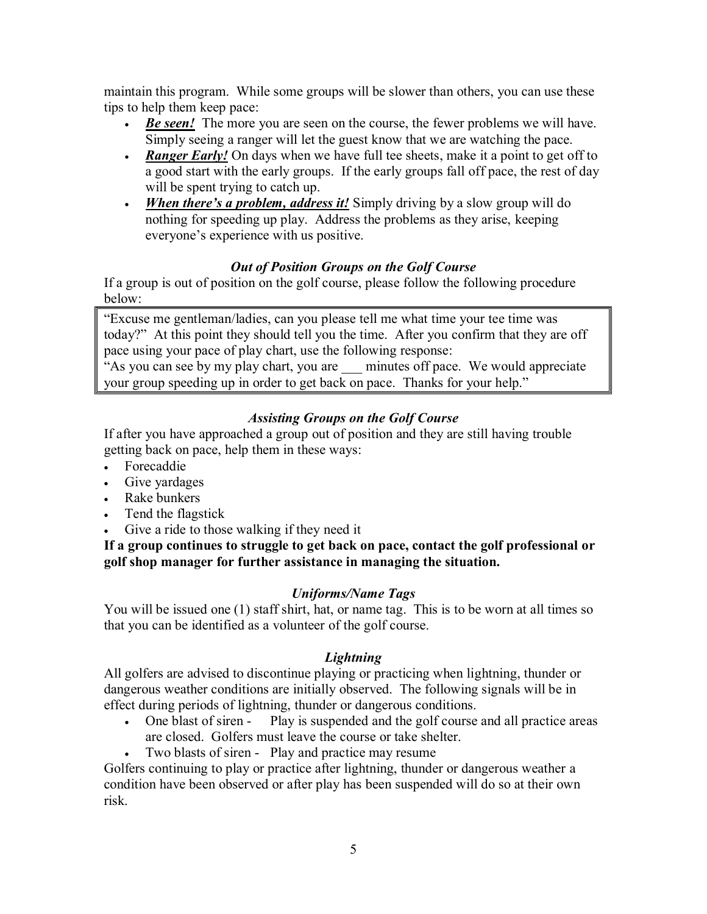maintain this program. While some groups will be slower than others, you can use these tips to help them keep pace:

- *Be seen!* The more you are seen on the course, the fewer problems we will have. Simply seeing a ranger will let the guest know that we are watching the pace.
- *Ranger Early!* On days when we have full tee sheets, make it a point to get off to a good start with the early groups. If the early groups fall off pace, the rest of day will be spent trying to catch up.
- *When there's a problem, address it!* Simply driving by a slow group will do nothing for speeding up play. Address the problems as they arise, keeping everyone's experience with us positive.

## *Out of Position Groups on the Golf Course*

If a group is out of position on the golf course, please follow the following procedure below:

"Excuse me gentleman/ladies, can you please tell me what time your tee time was today?" At this point they should tell you the time. After you confirm that they are off pace using your pace of play chart, use the following response:

"As you can see by my play chart, you are \_\_\_ minutes off pace. We would appreciate your group speeding up in order to get back on pace. Thanks for your help."

## *Assisting Groups on the Golf Course*

If after you have approached a group out of position and they are still having trouble getting back on pace, help them in these ways:

- Forecaddie
- Give yardages
- Rake bunkers
- Tend the flagstick
- Give a ride to those walking if they need it

**If a group continues to struggle to get back on pace, contact the golf professional or golf shop manager for further assistance in managing the situation.**

## *Uniforms/Name Tags*

You will be issued one (1) staff shirt, hat, or name tag. This is to be worn at all times so that you can be identified as a volunteer of the golf course.

## *Lightning*

All golfers are advised to discontinue playing or practicing when lightning, thunder or dangerous weather conditions are initially observed. The following signals will be in effect during periods of lightning, thunder or dangerous conditions.

- One blast of siren Play is suspended and the golf course and all practice areas are closed. Golfers must leave the course or take shelter.
- Two blasts of siren Play and practice may resume

Golfers continuing to play or practice after lightning, thunder or dangerous weather a condition have been observed or after play has been suspended will do so at their own risk.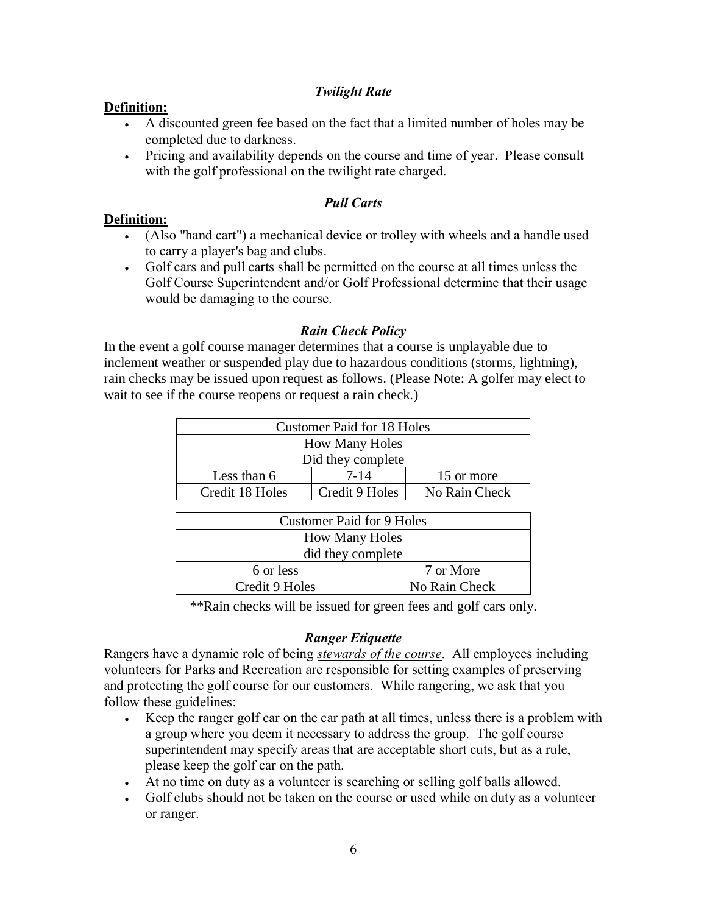### *Twilight Rate*

#### **Definition:**

- A discounted green fee based on the fact that a limited number of holes may be completed due to darkness.
- Pricing and availability depends on the course and time of year. Please consult with the golf professional on the twilight rate charged.

### *Pull Carts*

#### **Definition:**

- (Also "hand cart") a mechanical device or trolley with wheels and a handle used to carry a player's bag and clubs.
- Golf cars and pull carts shall be permitted on the course at all times unless the Golf Course Superintendent and/or Golf Professional determine that their usage would be damaging to the course.

#### *Rain Check Policy*

In the event a golf course manager determines that a course is unplayable due to inclement weather or suspended play due to hazardous conditions (storms, lightning), rain checks may be issued upon request as follows. (Please Note: A golfer may elect to wait to see if the course reopens or request a rain check.)

| <b>Customer Paid for 18 Holes</b> |                |               |  |
|-----------------------------------|----------------|---------------|--|
| <b>How Many Holes</b>             |                |               |  |
| Did they complete                 |                |               |  |
| Less than 6                       | $7 - 14$       | 15 or more    |  |
| Credit 18 Holes                   | Credit 9 Holes | No Rain Check |  |

| Customer Paid for 9 Holes |               |  |
|---------------------------|---------------|--|
| <b>How Many Holes</b>     |               |  |
| did they complete         |               |  |
| 6 or less                 | 7 or More     |  |
| Credit 9 Holes            | No Rain Check |  |

\*\*Rain checks will be issued for green fees and golf cars only.

#### *Ranger Etiquette*

Rangers have a dynamic role of being *stewards of the course*. All employees including volunteers for Parks and Recreation are responsible for setting examples of preserving and protecting the golf course for our customers. While rangering, we ask that you follow these guidelines:

- Keep the ranger golf car on the car path at all times, unless there is a problem with a group where you deem it necessary to address the group. The golf course superintendent may specify areas that are acceptable short cuts, but as a rule, please keep the golf car on the path.
- At no time on duty as a volunteer is searching or selling golf balls allowed.
- Golf clubs should not be taken on the course or used while on duty as a volunteer or ranger.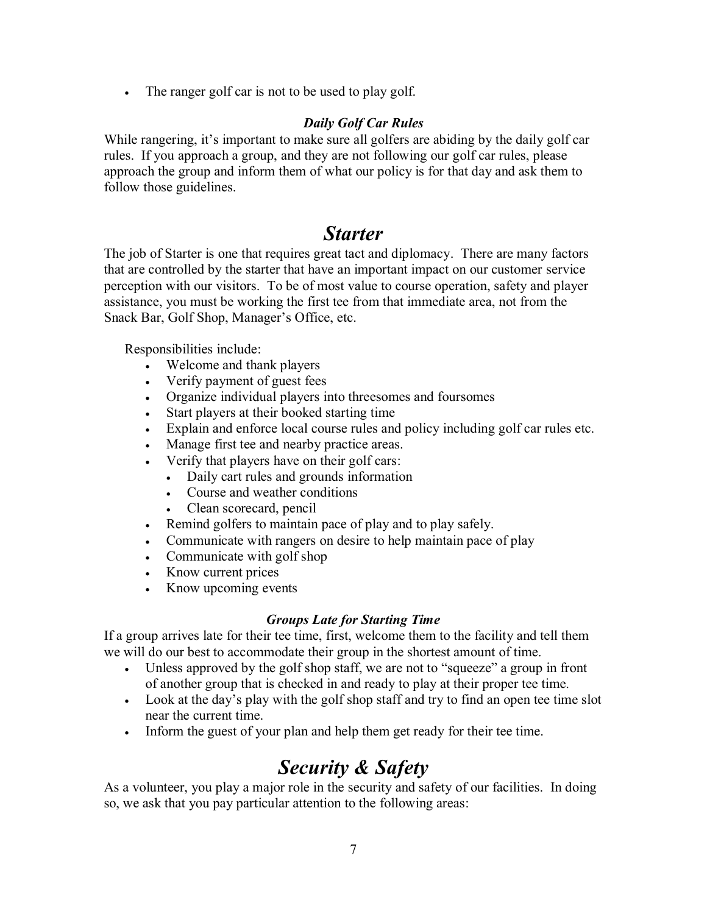• The ranger golf car is not to be used to play golf.

## *Daily Golf Car Rules*

While rangering, it's important to make sure all golfers are abiding by the daily golf car rules. If you approach a group, and they are not following our golf car rules, please approach the group and inform them of what our policy is for that day and ask them to follow those guidelines.

## *Starter*

The job of Starter is one that requires great tact and diplomacy. There are many factors that are controlled by the starter that have an important impact on our customer service perception with our visitors. To be of most value to course operation, safety and player assistance, you must be working the first tee from that immediate area, not from the Snack Bar, Golf Shop, Manager's Office, etc.

Responsibilities include:

- Welcome and thank players
- Verify payment of guest fees
- Organize individual players into threesomes and foursomes
- Start players at their booked starting time
- Explain and enforce local course rules and policy including golf car rules etc.
- Manage first tee and nearby practice areas.
- Verify that players have on their golf cars:
	- Daily cart rules and grounds information
	- Course and weather conditions
	- Clean scorecard, pencil
- Remind golfers to maintain pace of play and to play safely.
- Communicate with rangers on desire to help maintain pace of play
- Communicate with golf shop
- Know current prices
- Know upcoming events

## *Groups Late for Starting Time*

If a group arrives late for their tee time, first, welcome them to the facility and tell them we will do our best to accommodate their group in the shortest amount of time.

- Unless approved by the golf shop staff, we are not to "squeeze" a group in front of another group that is checked in and ready to play at their proper tee time.
- Look at the day's play with the golf shop staff and try to find an open tee time slot near the current time.
- Inform the guest of your plan and help them get ready for their tee time.

## *Security & Safety*

As a volunteer, you play a major role in the security and safety of our facilities. In doing so, we ask that you pay particular attention to the following areas: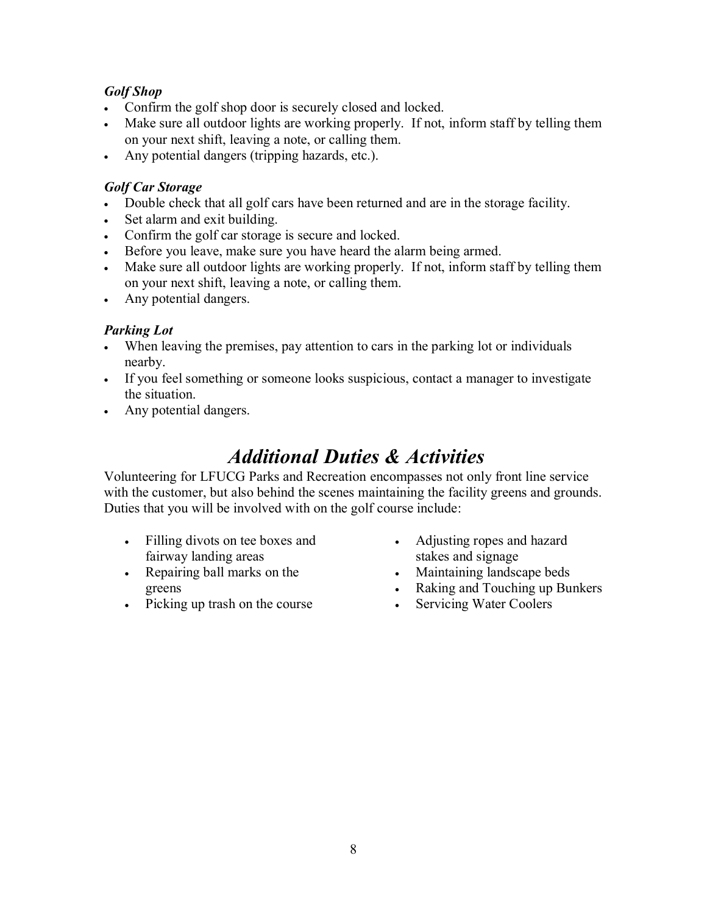## *Golf Shop*

- Confirm the golf shop door is securely closed and locked.
- Make sure all outdoor lights are working properly. If not, inform staff by telling them on your next shift, leaving a note, or calling them.
- Any potential dangers (tripping hazards, etc.).

## *Golf Car Storage*

- Double check that all golf cars have been returned and are in the storage facility.
- Set alarm and exit building.
- Confirm the golf car storage is secure and locked.
- Before you leave, make sure you have heard the alarm being armed.
- Make sure all outdoor lights are working properly. If not, inform staff by telling them on your next shift, leaving a note, or calling them.
- Any potential dangers.

## *Parking Lot*

- When leaving the premises, pay attention to cars in the parking lot or individuals nearby.
- If you feel something or someone looks suspicious, contact a manager to investigate the situation.
- Any potential dangers.

## *Additional Duties & Activities*

Volunteering for LFUCG Parks and Recreation encompasses not only front line service with the customer, but also behind the scenes maintaining the facility greens and grounds. Duties that you will be involved with on the golf course include:

- Filling divots on tee boxes and fairway landing areas
- Repairing ball marks on the greens
- Picking up trash on the course
- Adjusting ropes and hazard stakes and signage
- Maintaining landscape beds
- Raking and Touching up Bunkers
- Servicing Water Coolers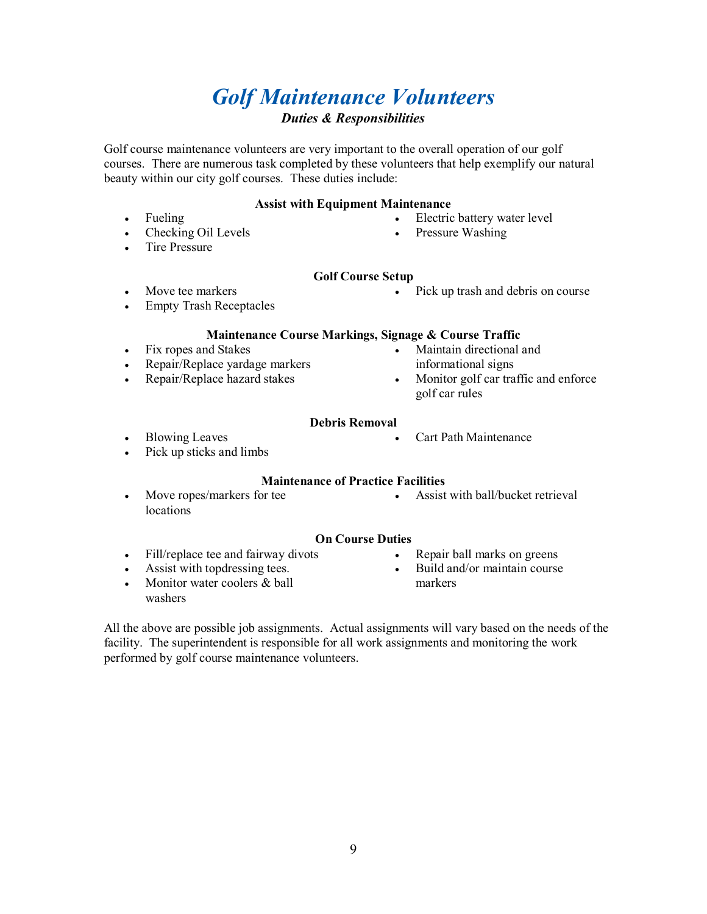## *Golf Maintenance Volunteers Duties & Responsibilities*

Golf course maintenance volunteers are very important to the overall operation of our golf courses. There are numerous task completed by these volunteers that help exemplify our natural beauty within our city golf courses. These duties include:

#### **Assist with Equipment Maintenance**

- Fueling
- Checking Oil Levels
- Tire Pressure
- Electric battery water level
- Pressure Washing

#### **Golf Course Setup**

- Move tee markers
- Empty Trash Receptacles

• Pick up trash and debris on course

#### **Maintenance Course Markings, Signage & Course Traffic**

- Fix ropes and Stakes
- Repair/Replace yardage markers
- Repair/Replace hazard stakes
- Maintain directional and informational signs

• Cart Path Maintenance

• Monitor golf car traffic and enforce golf car rules

#### **Debris Removal**

- Blowing Leaves
- Pick up sticks and limbs

#### **Maintenance of Practice Facilities**

• Move ropes/markers for tee locations

• Assist with ball/bucket retrieval

#### **On Course Duties**

- Fill/replace tee and fairway divots
- Assist with topdressing tees.
- Monitor water coolers & ball washers
- Repair ball marks on greens
- Build and/or maintain course markers

All the above are possible job assignments. Actual assignments will vary based on the needs of the facility. The superintendent is responsible for all work assignments and monitoring the work performed by golf course maintenance volunteers.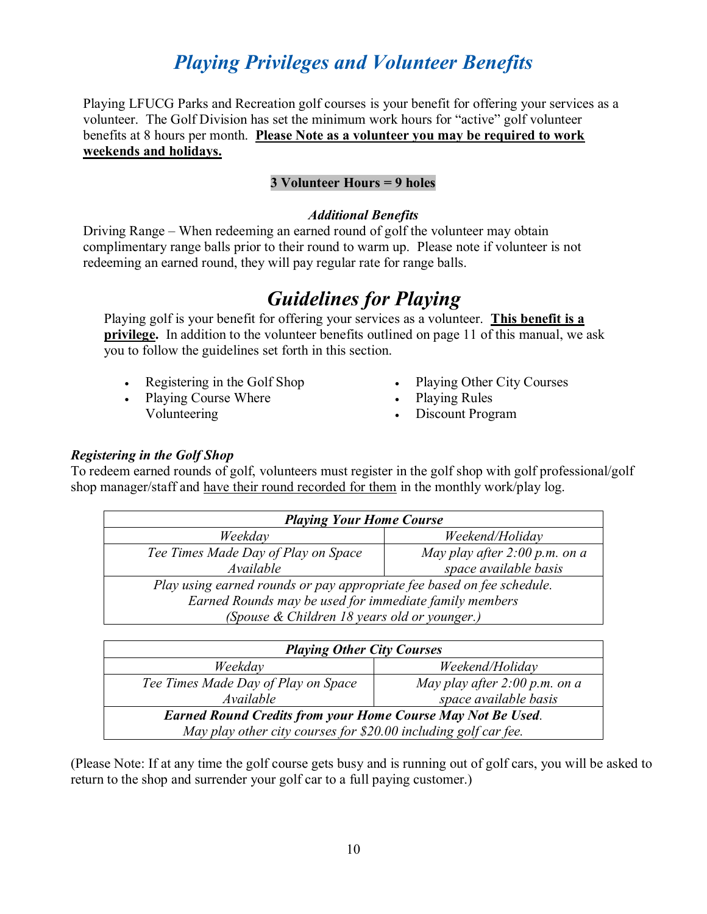# *Playing Privileges and Volunteer Benefits*

Playing LFUCG Parks and Recreation golf courses is your benefit for offering your services as a volunteer. The Golf Division has set the minimum work hours for "active" golf volunteer benefits at 8 hours per month. **Please Note as a volunteer you may be required to work weekends and holidays.** 

### **3 Volunteer Hours = 9 holes**

#### *Additional Benefits*

Driving Range – When redeeming an earned round of golf the volunteer may obtain complimentary range balls prior to their round to warm up. Please note if volunteer is not redeeming an earned round, they will pay regular rate for range balls.

# *Guidelines for Playing*

Playing golf is your benefit for offering your services as a volunteer. **This benefit is a privilege.** In addition to the volunteer benefits outlined on page 11 of this manual, we ask you to follow the guidelines set forth in this section.

- Registering in the Golf Shop
- Playing Course Where Volunteering
- Playing Other City Courses
- Playing Rules
- Discount Program

### *Registering in the Golf Shop*

To redeem earned rounds of golf, volunteers must register in the golf shop with golf professional/golf shop manager/staff and have their round recorded for them in the monthly work/play log.

| <b>Playing Your Home Course</b>                                        |                               |  |  |
|------------------------------------------------------------------------|-------------------------------|--|--|
| Weekday                                                                | Weekend/Holiday               |  |  |
| Tee Times Made Day of Play on Space                                    | May play after 2:00 p.m. on a |  |  |
| Available                                                              | space available basis         |  |  |
| Play using earned rounds or pay appropriate fee based on fee schedule. |                               |  |  |
| Earned Rounds may be used for immediate family members                 |                               |  |  |
| (Spouse & Children 18 years old or younger.)                           |                               |  |  |

| <b>Playing Other City Courses</b>                                  |                                 |  |  |
|--------------------------------------------------------------------|---------------------------------|--|--|
| Weekday                                                            | Weekend/Holiday                 |  |  |
| Tee Times Made Day of Play on Space                                | May play after $2:00$ p.m. on a |  |  |
| Available                                                          | space available basis           |  |  |
| <b>Earned Round Credits from your Home Course May Not Be Used.</b> |                                 |  |  |
| May play other city courses for \$20.00 including golf car fee.    |                                 |  |  |

(Please Note: If at any time the golf course gets busy and is running out of golf cars, you will be asked to return to the shop and surrender your golf car to a full paying customer.)